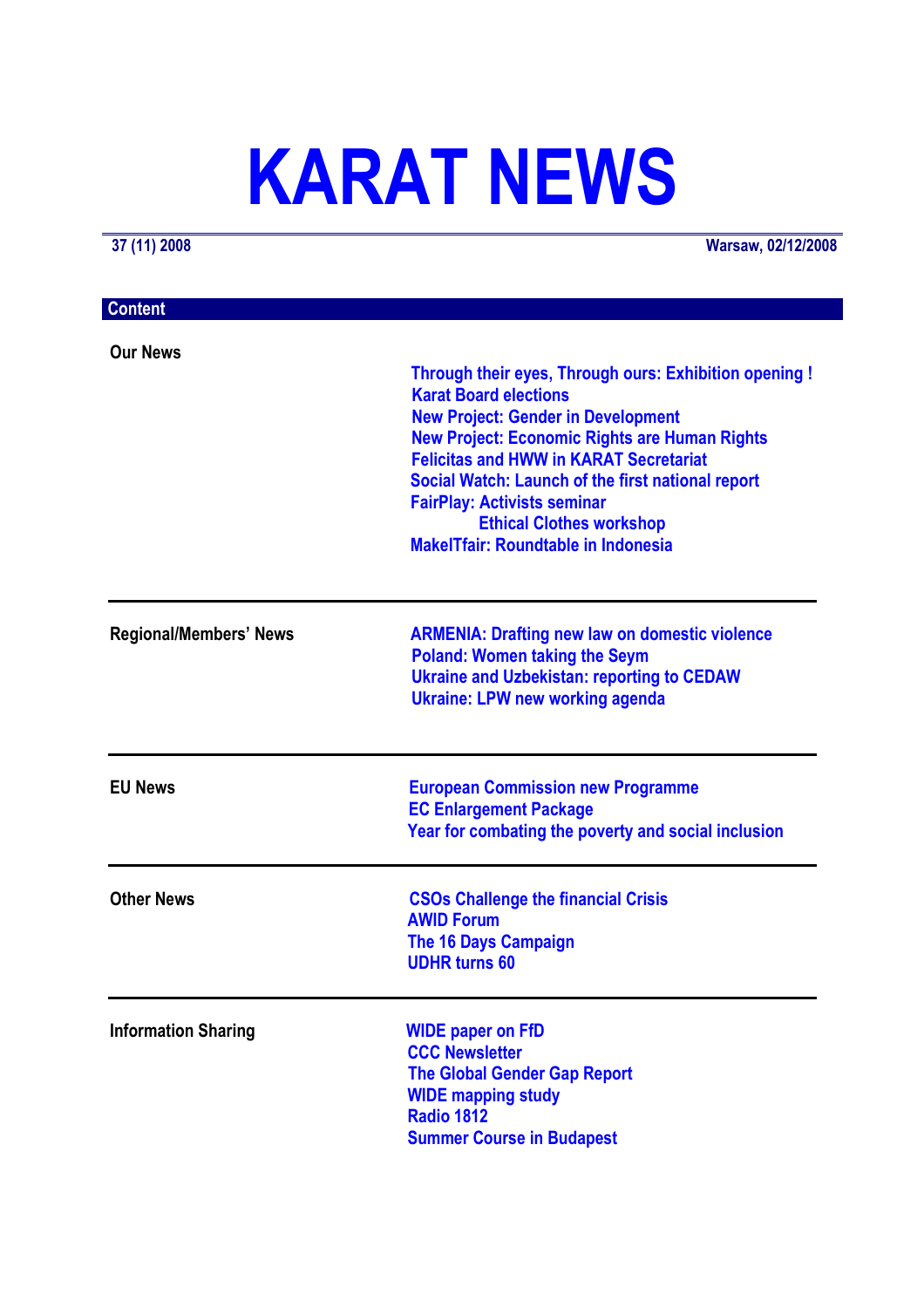# **KARAT NEWS**

**37 (11) 2008 Warsaw, 02/12/2008**

| <b>Content</b>                |                                                                                                                                                                                                                                                                                                                                                                                                                          |
|-------------------------------|--------------------------------------------------------------------------------------------------------------------------------------------------------------------------------------------------------------------------------------------------------------------------------------------------------------------------------------------------------------------------------------------------------------------------|
| <b>Our News</b>               | Through their eyes, Through ours: Exhibition opening !<br><b>Karat Board elections</b><br><b>New Project: Gender in Development</b><br><b>New Project: Economic Rights are Human Rights</b><br><b>Felicitas and HWW in KARAT Secretariat</b><br>Social Watch: Launch of the first national report<br><b>FairPlay: Activists seminar</b><br><b>Ethical Clothes workshop</b><br><b>MakelTfair: Roundtable in Indonesia</b> |
| <b>Regional/Members' News</b> | <b>ARMENIA: Drafting new law on domestic violence</b><br><b>Poland: Women taking the Seym</b><br><b>Ukraine and Uzbekistan: reporting to CEDAW</b><br><b>Ukraine: LPW new working agenda</b>                                                                                                                                                                                                                             |
| <b>EU News</b>                | <b>European Commission new Programme</b><br><b>EC Enlargement Package</b><br>Year for combating the poverty and social inclusion                                                                                                                                                                                                                                                                                         |
| <b>Other News</b>             | <b>CSOs Challenge the financial Crisis</b><br><b>AWID Forum</b><br>The 16 Days Campaign<br><b>UDHR turns 60</b>                                                                                                                                                                                                                                                                                                          |
| <b>Information Sharing</b>    | <b>WIDE paper on FfD</b><br><b>CCC Newsletter</b><br><b>The Global Gender Gap Report</b><br><b>WIDE mapping study</b><br><b>Radio 1812</b><br><b>Summer Course in Budapest</b>                                                                                                                                                                                                                                           |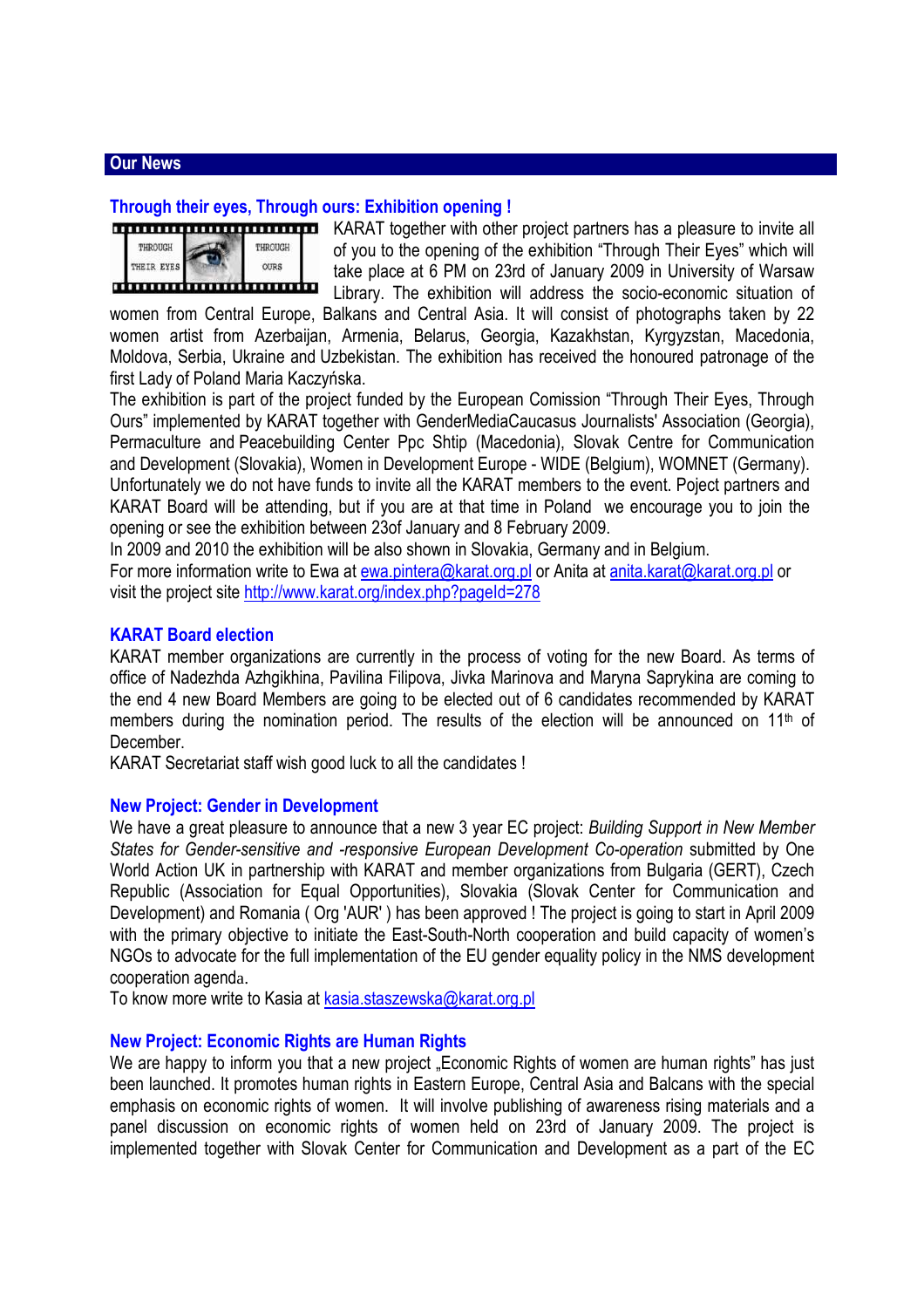## **Our News**

#### **Through their eyes, Through ours: Exhibition opening !**

|            | ,,,,,,,,,,,,,,,,,,,,,,,,,,,, |  |
|------------|------------------------------|--|
| THROUGH    | THROUGH                      |  |
| THEIR EYES | <b>OURS</b>                  |  |
|            | ,,,,,,,,,,,,,,,,,,,,,,,,,,,, |  |

KARAT together with other project partners has a pleasure to invite all of you to the opening of the exhibition "Through Their Eyes" which will take place at 6 PM on 23rd of January 2009 in University of Warsaw **I** Library. The exhibition will address the socio-economic situation of

women from Central Europe, Balkans and Central Asia. It will consist of photographs taken by 22 women artist from Azerbaijan, Armenia, Belarus, Georgia, Kazakhstan, Kyrgyzstan, Macedonia, Moldova, Serbia, Ukraine and Uzbekistan. The exhibition has received the honoured patronage of the first Lady of Poland Maria Kaczyńska.

The exhibition is part of the project funded by the European Comission "Through Their Eyes, Through Ours" implemented by KARAT together with GenderMediaCaucasus Journalists' Association (Georgia), Permaculture and Peacebuilding Center Ppc Shtip (Macedonia), Slovak Centre for Communication and Development (Slovakia), Women in Development Europe - WIDE (Belgium), WOMNET (Germany). Unfortunately we do not have funds to invite all the KARAT members to the event. Poject partners and KARAT Board will be attending, but if you are at that time in Poland we encourage you to join the opening or see the exhibition between 23of January and 8 February 2009.

In 2009 and 2010 the exhibition will be also shown in Slovakia, Germany and in Belgium.

For more information write to Ewa at ewa.pintera@karat.org.pl or Anita at anita.karat@karat.org.pl or visit the project site http://www.karat.org/index.php?pageId=278

#### **KARAT Board election**

KARAT member organizations are currently in the process of voting for the new Board. As terms of office of Nadezhda Azhgikhina, Pavilina Filipova, Jivka Marinova and Maryna Saprykina are coming to the end 4 new Board Members are going to be elected out of 6 candidates recommended by KARAT members during the nomination period. The results of the election will be announced on  $11<sup>th</sup>$  of December.

KARAT Secretariat staff wish good luck to all the candidates !

#### **New Project: Gender in Development**

We have a great pleasure to announce that a new 3 year EC project: *Building Support in New Member States for Gender-sensitive and -responsive European Development Co-operation* submitted by One World Action UK in partnership with KARAT and member organizations from Bulgaria (GERT), Czech Republic (Association for Equal Opportunities), Slovakia (Slovak Center for Communication and Development) and Romania ( Org 'AUR' ) has been approved ! The project is going to start in April 2009 with the primary objective to initiate the East-South-North cooperation and build capacity of women's NGOs to advocate for the full implementation of the EU gender equality policy in the NMS development cooperation agenda.

To know more write to Kasia at kasia.staszewska@karat.org.pl

#### **New Project: Economic Rights are Human Rights**

We are happy to inform you that a new project . Economic Rights of women are human rights" has just been launched. It promotes human rights in Eastern Europe, Central Asia and Balcans with the special emphasis on economic rights of women. It will involve publishing of awareness rising materials and a panel discussion on economic rights of women held on 23rd of January 2009. The project is implemented together with Slovak Center for Communication and Development as a part of the EC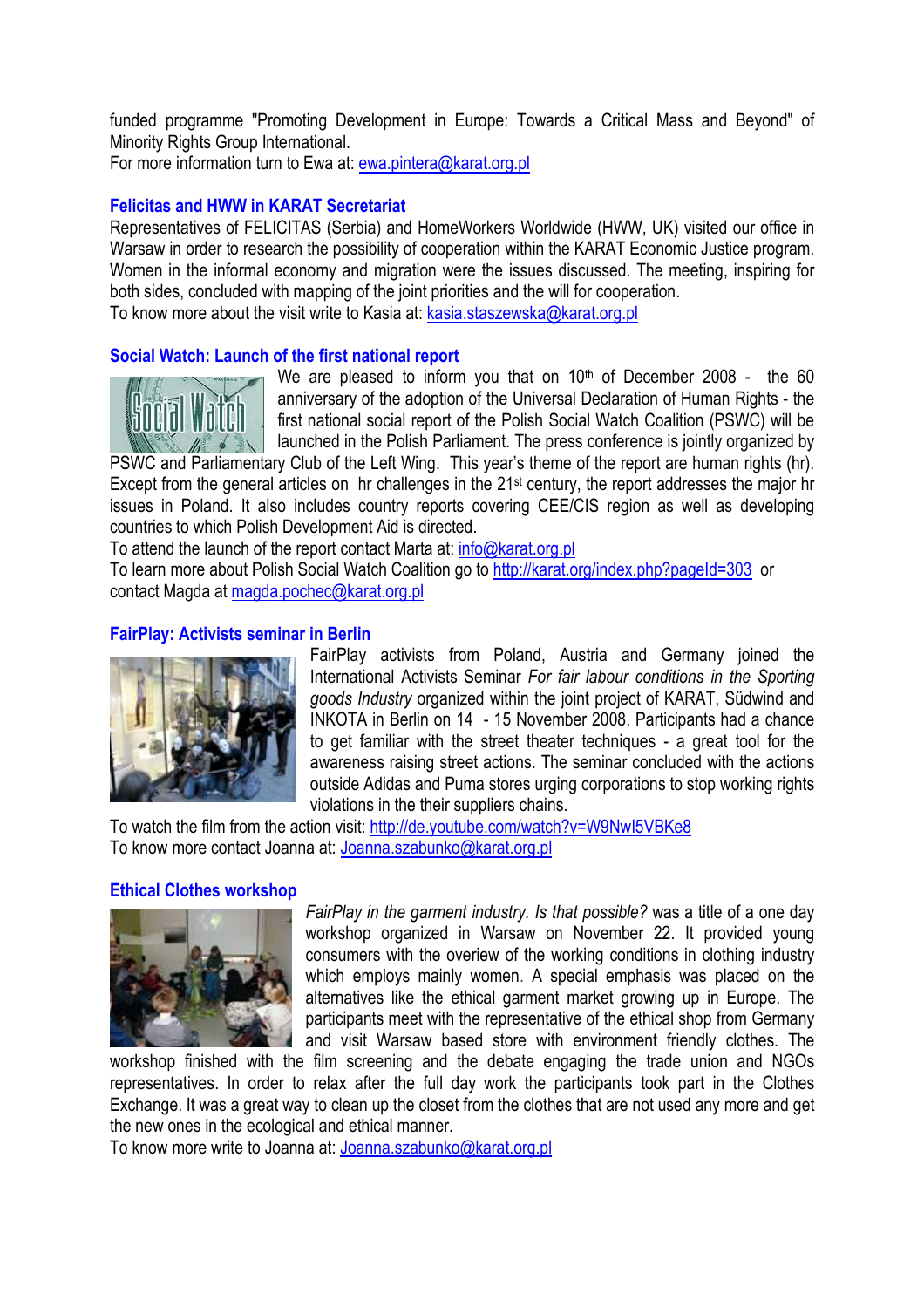funded programme "Promoting Development in Europe: Towards a Critical Mass and Beyond" of Minority Rights Group International.

For more information turn to Ewa at: ewa.pintera@karat.org.pl

# **Felicitas and HWW in KARAT Secretariat**

Representatives of FELICITAS (Serbia) and HomeWorkers Worldwide (HWW, UK) visited our office in Warsaw in order to research the possibility of cooperation within the KARAT Economic Justice program. Women in the informal economy and migration were the issues discussed. The meeting, inspiring for both sides, concluded with mapping of the joint priorities and the will for cooperation. To know more about the visit write to Kasia at: kasia.staszewska@karat.org.pl

# **Social Watch: Launch of the first national report**



We are pleased to inform you that on  $10<sup>th</sup>$  of December 2008 - the 60 anniversary of the adoption of the Universal Declaration of Human Rights - the first national social report of the Polish Social Watch Coalition (PSWC) will be launched in the Polish Parliament. The press conference is jointly organized by

PSWC and Parliamentary Club of the Left Wing. This year's theme of the report are human rights (hr). Except from the general articles on hr challenges in the 21st century, the report addresses the major hr issues in Poland. It also includes country reports covering CEE/CIS region as well as developing countries to which Polish Development Aid is directed.

To attend the launch of the report contact Marta at: info@karat.org.pl

To learn more about Polish Social Watch Coalition go to http://karat.org/index.php?pageId=303 or contact Magda at magda.pochec@karat.org.pl

## **FairPlay: Activists seminar in Berlin**



FairPlay activists from Poland, Austria and Germany joined the International Activists Seminar *For fair labour conditions in the Sporting goods Industry* organized within the joint project of KARAT, Südwind and INKOTA in Berlin on 14 - 15 November 2008. Participants had a chance to get familiar with the street theater techniques - a great tool for the awareness raising street actions. The seminar concluded with the actions outside Adidas and Puma stores urging corporations to stop working rights violations in the their suppliers chains.

To watch the film from the action visit: http://de.youtube.com/watch?v=W9NwI5VBKe8 To know more contact Joanna at: Joanna.szabunko@karat.org.pl

## **Ethical Clothes workshop**



*FairPlay in the garment industry. Is that possible?* was a title of a one day workshop organized in Warsaw on November 22. It provided young consumers with the overiew of the working conditions in clothing industry which employs mainly women. A special emphasis was placed on the alternatives like the ethical garment market growing up in Europe. The participants meet with the representative of the ethical shop from Germany and visit Warsaw based store with environment friendly clothes. The

workshop finished with the film screening and the debate engaging the trade union and NGOs representatives. In order to relax after the full day work the participants took part in the Clothes Exchange. It was a great way to clean up the closet from the clothes that are not used any more and get the new ones in the ecological and ethical manner.

To know more write to Joanna at: Joanna.szabunko@karat.org.pl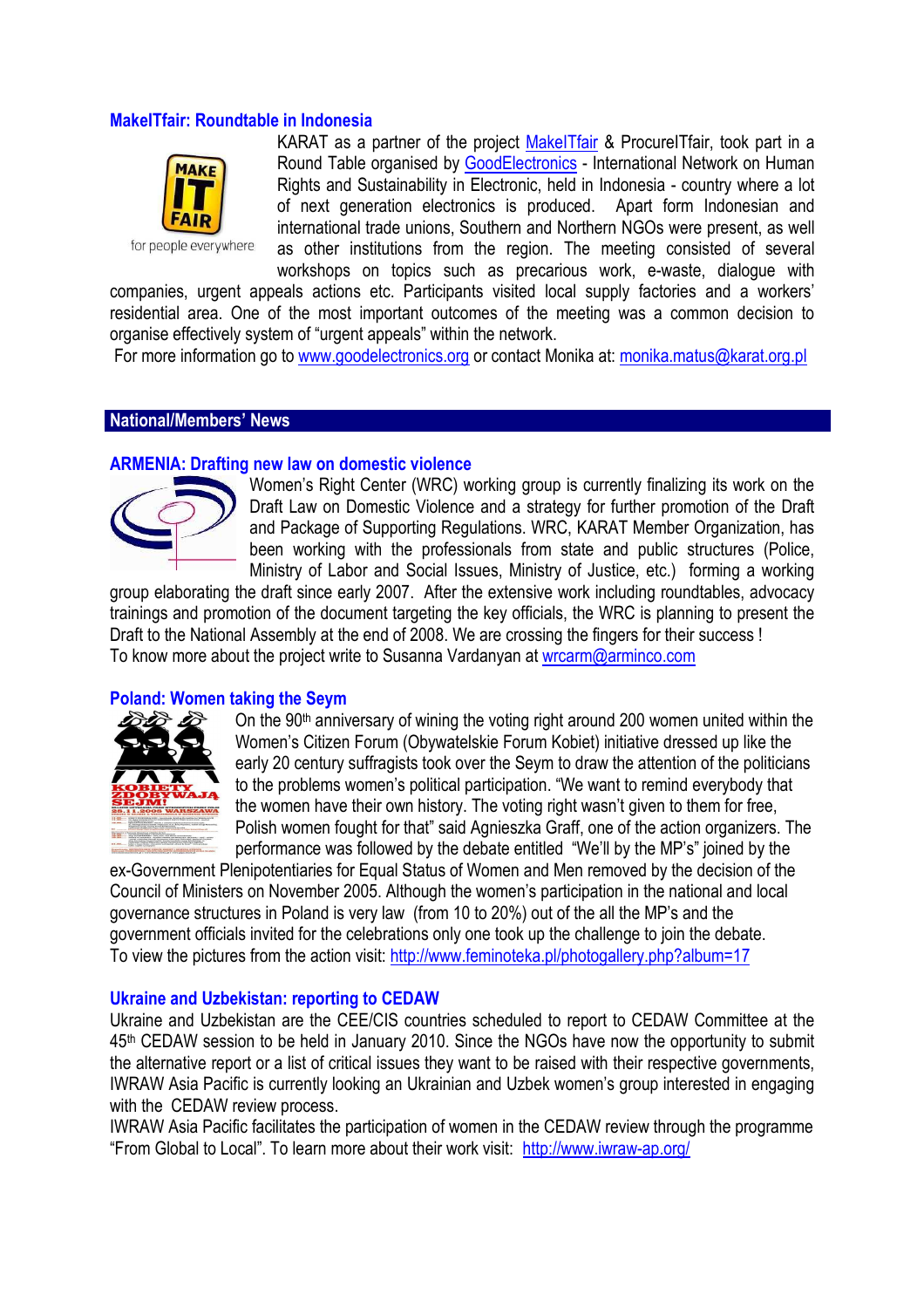## **MakeITfair: Roundtable in Indonesia**



for people everywhere

KARAT as a partner of the project MakeITfair & ProcureITfair, took part in a Round Table organised by GoodElectronics - International Network on Human Rights and Sustainability in Electronic, held in Indonesia - country where a lot of next generation electronics is produced. Apart form Indonesian and international trade unions, Southern and Northern NGOs were present, as well as other institutions from the region. The meeting consisted of several workshops on topics such as precarious work, e-waste, dialogue with

companies, urgent appeals actions etc. Participants visited local supply factories and a workers' residential area. One of the most important outcomes of the meeting was a common decision to organise effectively system of "urgent appeals" within the network.

For more information go to www.goodelectronics.org or contact Monika at: monika.matus@karat.org.pl

#### **National/Members' News**

#### **ARMENIA: Drafting new law on domestic violence**



Women's Right Center (WRC) working group is currently finalizing its work on the Draft Law on Domestic Violence and a strategy for further promotion of the Draft and Package of Supporting Regulations. WRC, KARAT Member Organization, has been working with the professionals from state and public structures (Police, Ministry of Labor and Social Issues, Ministry of Justice, etc.) forming a working

group elaborating the draft since early 2007. After the extensive work including roundtables, advocacy trainings and promotion of the document targeting the key officials, the WRC is planning to present the Draft to the National Assembly at the end of 2008. We are crossing the fingers for their success ! To know more about the project write to Susanna Vardanyan at wrcarm@arminco.com

## **Poland: Women taking the Seym**



On the 90<sup>th</sup> anniversary of wining the voting right around 200 women united within the Women's Citizen Forum (Obywatelskie Forum Kobiet) initiative dressed up like the early 20 century suffragists took over the Seym to draw the attention of the politicians to the problems women's political participation. "We want to remind everybody that the women have their own history. The voting right wasn't given to them for free, Polish women fought for that" said Agnieszka Graff, one of the action organizers. The performance was followed by the debate entitled "We'll by the MP's" joined by the

ex-Government Plenipotentiaries for Equal Status of Women and Men removed by the decision of the Council of Ministers on November 2005. Although the women's participation in the national and local governance structures in Poland is very law (from 10 to 20%) out of the all the MP's and the government officials invited for the celebrations only one took up the challenge to join the debate. To view the pictures from the action visit: http://www.feminoteka.pl/photogallery.php?album=17

#### **Ukraine and Uzbekistan: reporting to CEDAW**

Ukraine and Uzbekistan are the CEE/CIS countries scheduled to report to CEDAW Committee at the 45th CEDAW session to be held in January 2010. Since the NGOs have now the opportunity to submit the alternative report or a list of critical issues they want to be raised with their respective governments, IWRAW Asia Pacific is currently looking an Ukrainian and Uzbek women's group interested in engaging with the CEDAW review process.

IWRAW Asia Pacific facilitates the participation of women in the CEDAW review through the programme "From Global to Local". To learn more about their work visit: http://www.iwraw-ap.org/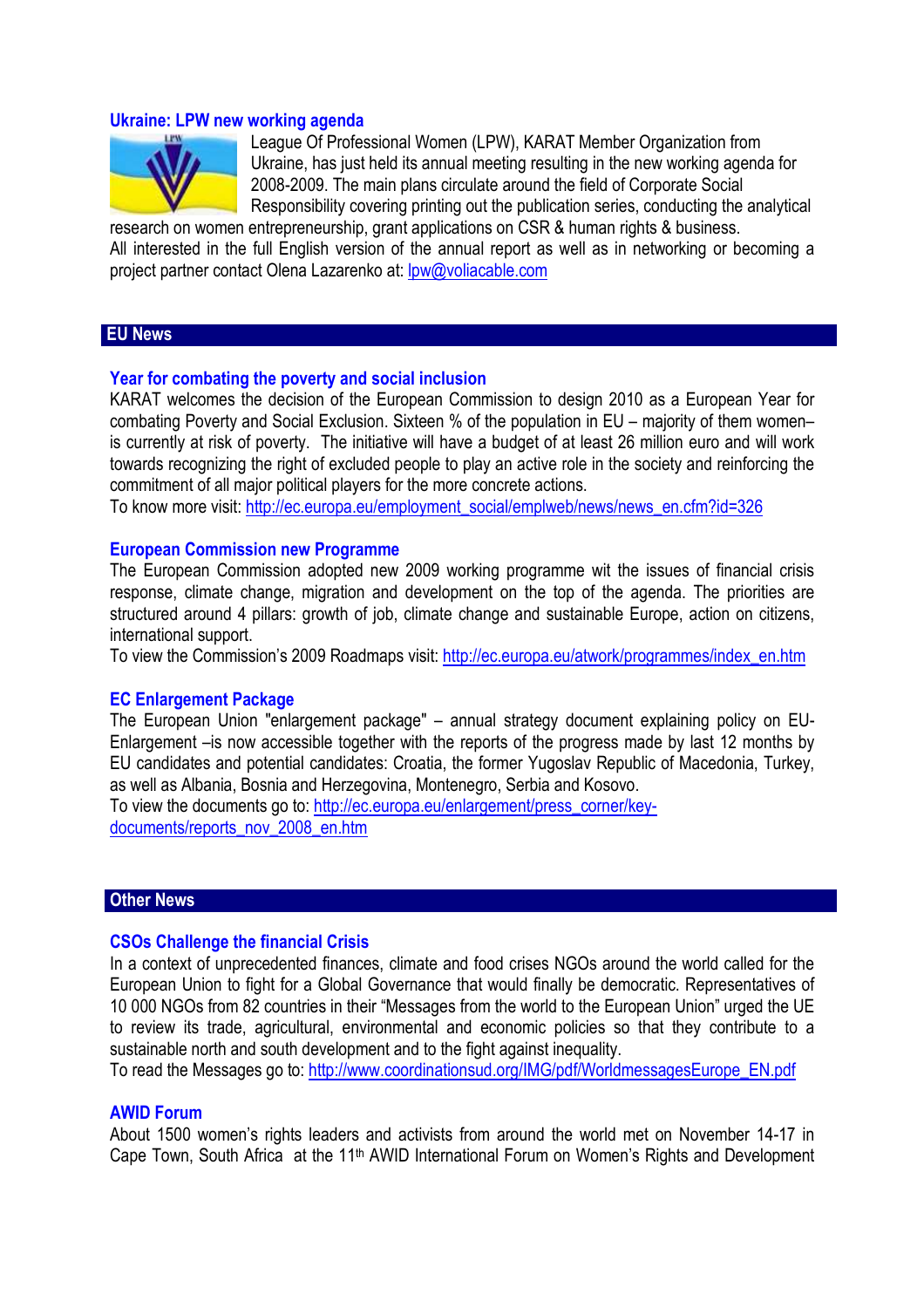#### **Ukraine: LPW new working agenda**



League Of Professional Women (LPW), KARAT Member Organization from Ukraine, has just held its annual meeting resulting in the new working agenda for 2008-2009. The main plans circulate around the field of Corporate Social Responsibility covering printing out the publication series, conducting the analytical

research on women entrepreneurship, grant applications on CSR & human rights & business. All interested in the full English version of the annual report as well as in networking or becoming a project partner contact Olena Lazarenko at: lpw@voliacable.com

## **EU News**

#### **Year for combating the poverty and social inclusion**

KARAT welcomes the decision of the European Commission to design 2010 as a European Year for combating Poverty and Social Exclusion. Sixteen % of the population in EU – majority of them women– is currently at risk of poverty. The initiative will have a budget of at least 26 million euro and will work towards recognizing the right of excluded people to play an active role in the society and reinforcing the commitment of all major political players for the more concrete actions.

To know more visit: http://ec.europa.eu/employment\_social/emplweb/news/news\_en.cfm?id=326

#### **European Commission new Programme**

The European Commission adopted new 2009 working programme wit the issues of financial crisis response, climate change, migration and development on the top of the agenda. The priorities are structured around 4 pillars: growth of job, climate change and sustainable Europe, action on citizens, international support.

To view the Commission's 2009 Roadmaps visit: http://ec.europa.eu/atwork/programmes/index\_en.htm

#### **EC Enlargement Package**

The European Union "enlargement package" – annual strategy document explaining policy on EU-Enlargement –is now accessible together with the reports of the progress made by last 12 months by EU candidates and potential candidates: Croatia, the former Yugoslav Republic of Macedonia, Turkey, as well as Albania, Bosnia and Herzegovina, Montenegro, Serbia and Kosovo.

To view the documents go to: http://ec.europa.eu/enlargement/press\_corner/keydocuments/reports\_nov\_2008\_en.htm

## **Other News**

#### **CSOs Challenge the financial Crisis**

In a context of unprecedented finances, climate and food crises NGOs around the world called for the European Union to fight for a Global Governance that would finally be democratic. Representatives of 10 000 NGOs from 82 countries in their "Messages from the world to the European Union" urged the UE to review its trade, agricultural, environmental and economic policies so that they contribute to a sustainable north and south development and to the fight against inequality.

To read the Messages go to: http://www.coordinationsud.org/IMG/pdf/WorldmessagesEurope\_EN.pdf

## **AWID Forum**

About 1500 women's rights leaders and activists from around the world met on November 14-17 in Cape Town, South Africa at the 11<sup>th</sup> AWID International Forum on Women's Rights and Development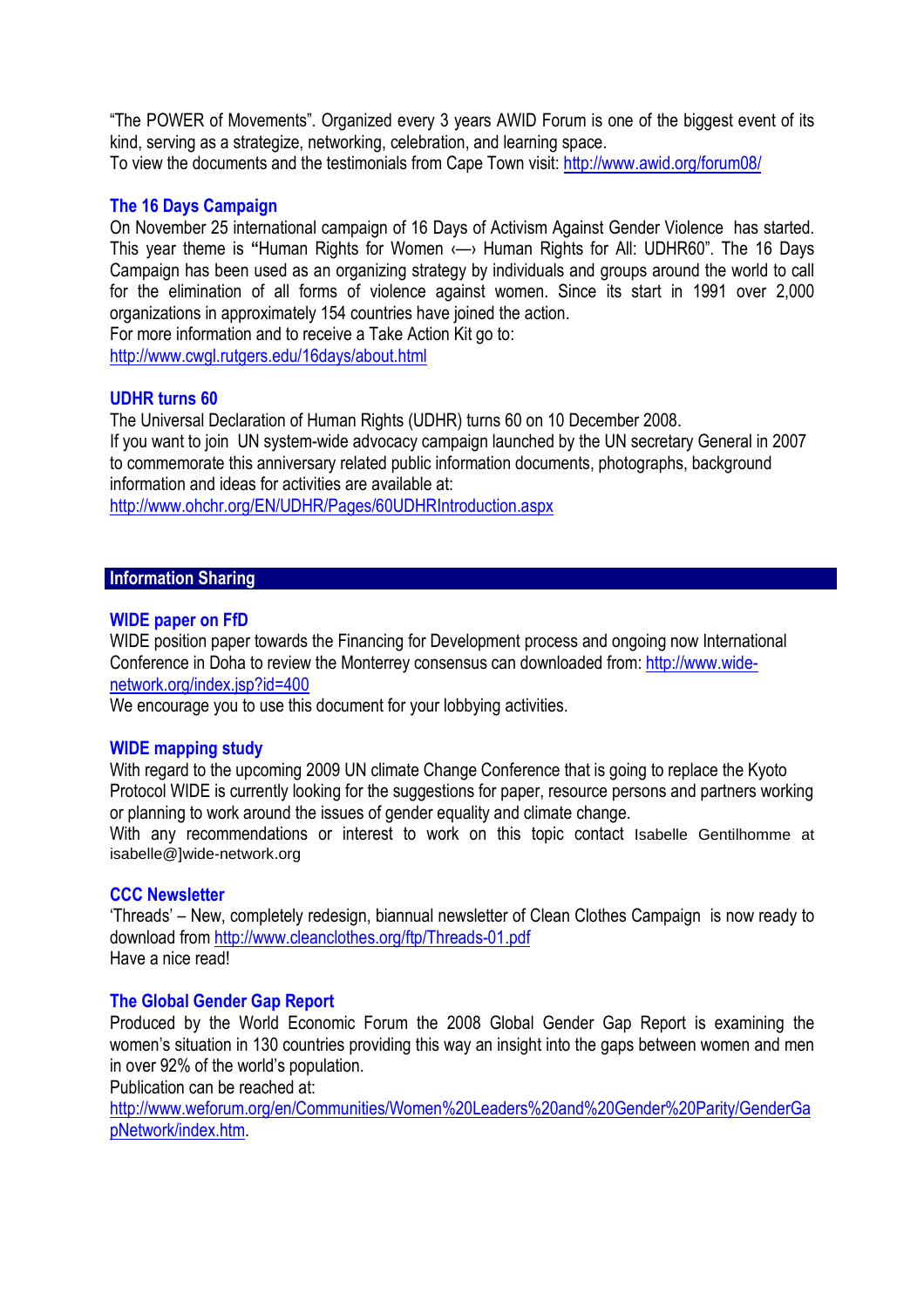"The POWER of Movements". Organized every 3 years AWID Forum is one of the biggest event of its kind, serving as a strategize, networking, celebration, and learning space.

To view the documents and the testimonials from Cape Town visit: http://www.awid.org/forum08/

# **The 16 Days Campaign**

On November 25 international campaign of 16 Days of Activism Against Gender Violence has started. This year theme is **"**Human Rights for Women ‹—› Human Rights for All: UDHR60". The 16 Days Campaign has been used as an organizing strategy by individuals and groups around the world to call for the elimination of all forms of violence against women. Since its start in 1991 over 2,000 organizations in approximately 154 countries have joined the action.

For more information and to receive a Take Action Kit go to: http://www.cwgl.rutgers.edu/16days/about.html

# **UDHR turns 60**

The Universal Declaration of Human Rights (UDHR) turns 60 on 10 December 2008. If you want to join UN system-wide advocacy campaign launched by the UN secretary General in 2007 to commemorate this anniversary related public information documents, photographs, background information and ideas for activities are available at:

http://www.ohchr.org/EN/UDHR/Pages/60UDHRIntroduction.aspx

## **Information Sharing**

## **WIDE paper on FfD**

WIDE position paper towards the Financing for Development process and ongoing now International Conference in Doha to review the Monterrey consensus can downloaded from: http://www.widenetwork.org/index.jsp?id=400

We encourage you to use this document for your lobbying activities.

## **WIDE mapping study**

With regard to the upcoming 2009 UN climate Change Conference that is going to replace the Kyoto Protocol WIDE is currently looking for the suggestions for paper, resource persons and partners working or planning to work around the issues of gender equality and climate change.

With any recommendations or interest to work on this topic contact Isabelle Gentilhomme at isabelle@]wide-network.org

## **CCC Newsletter**

'Threads' – New, completely redesign, biannual newsletter of Clean Clothes Campaign is now ready to download from http://www.cleanclothes.org/ftp/Threads-01.pdf Have a nice read!

# **The Global Gender Gap Report**

Produced by the World Economic Forum the 2008 Global Gender Gap Report is examining the women's situation in 130 countries providing this way an insight into the gaps between women and men in over 92% of the world's population.

Publication can be reached at:

http://www.weforum.org/en/Communities/Women%20Leaders%20and%20Gender%20Parity/GenderGa pNetwork/index.htm.